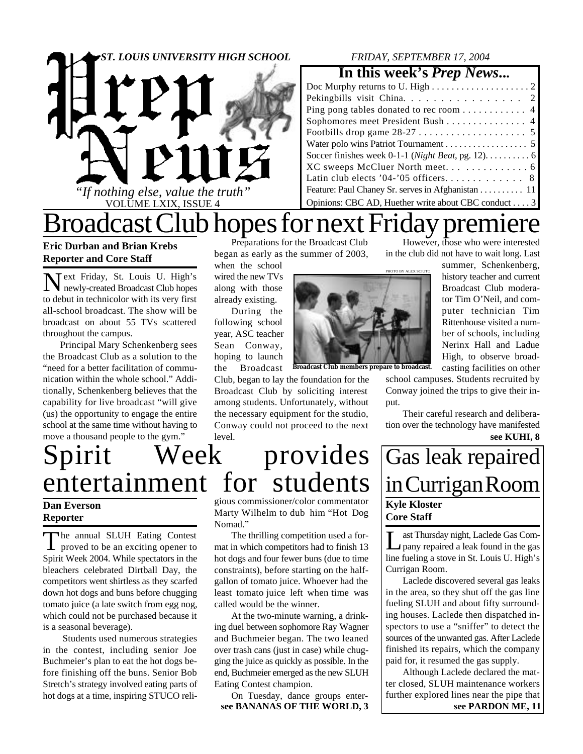

### *FRIDAY, SEPTEMBER 17, 2004*

### **In this week's** *Prep News***...**

| Pekingbills visit China. 2                                                            |
|---------------------------------------------------------------------------------------|
| Ping pong tables donated to rec room 4                                                |
| Sophomores meet President Bush 4                                                      |
|                                                                                       |
|                                                                                       |
| Soccer finishes week 0-1-1 ( <i>Night Beat</i> , pg. 12). $\dots \dots \dots \dots$ 6 |
|                                                                                       |
|                                                                                       |
| Feature: Paul Chaney Sr. serves in Afghanistan 11                                     |
| Opinions: CBC AD, Huether write about CBC conduct 3                                   |

## Broadcast Club hopes for next Friday premiere

### **Eric Durban and Brian Krebs Reporter and Core Staff**

N ext Friday, St. Louis U. High's newly-created Broadcast Club hopes to debut in technicolor with its very first all-school broadcast. The show will be broadcast on about 55 TVs scattered throughout the campus.

Principal Mary Schenkenberg sees the Broadcast Club as a solution to the "need for a better facilitation of communication within the whole school." Additionally, Schenkenberg believes that the capability for live broadcast "will give (us) the opportunity to engage the entire school at the same time without having to move a thousand people to the gym."

Preparations for the Broadcast Club began as early as the summer of 2003, when the school

wired the new TVs along with those already existing.

During the following school year, ASC teacher Sean Conway, hoping to launch the Broadcast

Club, began to lay the foundation for the Broadcast Club by soliciting interest among students. Unfortunately, without the necessary equipment for the studio, Conway could not proceed to the next level.

gious commissioner/color commentator Marty Wilhelm to dub him "Hot Dog Nomad."

The thrilling competition used a format in which competitors had to finish 13 hot dogs and four fewer buns (due to time constraints), before starting on the halfgallon of tomato juice. Whoever had the least tomato juice left when time was called would be the winner.

At the two-minute warning, a drinking duel between sophomore Ray Wagner and Buchmeier began. The two leaned over trash cans (just in case) while chugging the juice as quickly as possible. In the end, Buchmeier emerged as the new SLUH Eating Contest champion.

On Tuesday, dance groups enter-

However, those who were interested in the club did not have to wait long. Last

summer, Schenkenberg, history teacher and current Broadcast Club moderator Tim O'Neil, and computer technician Tim Rittenhouse visited a number of schools, including Nerinx Hall and Ladue High, to observe broadcasting facilities on other

school campuses. Students recruited by Conway joined the trips to give their input.

**see KUHI, 8** Their careful research and deliberation over the technology have manifested

## Gas leak repaired in Currigan Room **Kyle Kloster Core Staff**

Let Thursday night, Laclede Gas Company repaired a leak found in the gas ast Thursday night, Laclede Gas Comline fueling a stove in St. Louis U. High's Currigan Room.

Laclede discovered several gas leaks in the area, so they shut off the gas line fueling SLUH and about fifty surrounding houses. Laclede then dispatched inspectors to use a "sniffer" to detect the sources of the unwanted gas. After Laclede finished its repairs, which the company paid for, it resumed the gas supply.

**see BANANAS OF THE WORLD, 3 see PARDON ME, 11** Although Laclede declared the matter closed, SLUH maintenance workers further explored lines near the pipe that

# Spirit Week provides entertainment for students

#### **Dan Everson Reporter**

The annual SLUH Eating Contest<br>proved to be an exciting opener to he annual SLUH Eating Contest Spirit Week 2004. While spectators in the bleachers celebrated Dirtball Day, the competitors went shirtless as they scarfed down hot dogs and buns before chugging tomato juice (a late switch from egg nog, which could not be purchased because it is a seasonal beverage).

 Students used numerous strategies in the contest, including senior Joe Buchmeier's plan to eat the hot dogs before finishing off the buns. Senior Bob Stretch's strategy involved eating parts of hot dogs at a time, inspiring STUCO reli**PHOTO BY ALEX SCIUTO** 

**Broadcast Club members prepare to broadcast.**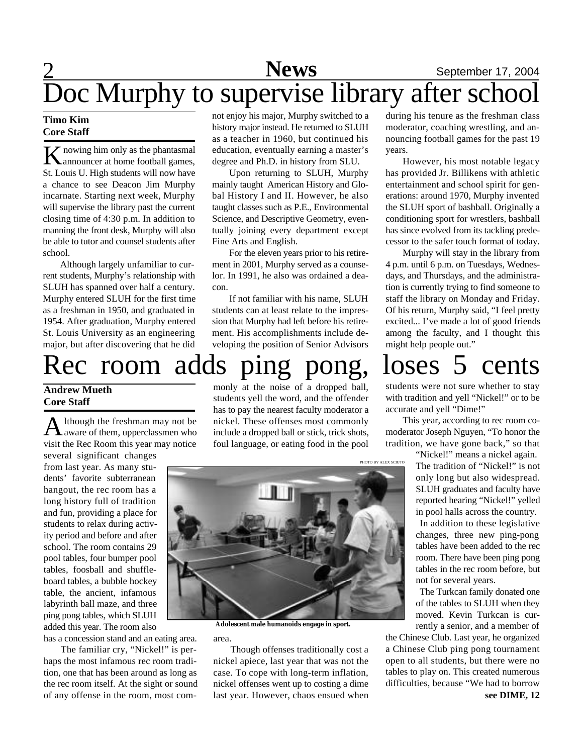### 2 **Sports News** September 17, 2004 **News** Doc Murphy to supervise library after school

#### **Timo Kim Core Staff**

**K** nowing him only as the phantasmal<br>
announcer at home football games, announcer at home football games, St. Louis U. High students will now have a chance to see Deacon Jim Murphy incarnate. Starting next week, Murphy will supervise the library past the current closing time of 4:30 p.m. In addition to manning the front desk, Murphy will also be able to tutor and counsel students after school.

Although largely unfamiliar to current students, Murphy's relationship with SLUH has spanned over half a century. Murphy entered SLUH for the first time as a freshman in 1950, and graduated in 1954. After graduation, Murphy entered St. Louis University as an engineering major, but after discovering that he did

## Rec room adds ping pong, loses 5 cents

### **Andrew Mueth Core Staff**

A lthough the freshman may not be<br>aware of them, upperclassmen who lthough the freshman may not be visit the Rec Room this year may notice

several significant changes from last year. As many students' favorite subterranean hangout, the rec room has a long history full of tradition and fun, providing a place for students to relax during activity period and before and after school. The room contains 29 pool tables, four bumper pool tables, foosball and shuffleboard tables, a bubble hockey table, the ancient, infamous labyrinth ball maze, and three ping pong tables, which SLUH added this year. The room also

has a concession stand and an eating area.

The familiar cry, "Nickel!" is perhaps the most infamous rec room tradition, one that has been around as long as the rec room itself. At the sight or sound of any offense in the room, most comnot enjoy his major, Murphy switched to a history major instead. He returned to SLUH as a teacher in 1960, but continued his education, eventually earning a master's degree and Ph.D. in history from SLU.

Upon returning to SLUH, Murphy mainly taught American History and Global History I and II. However, he also taught classes such as P.E., Environmental Science, and Descriptive Geometry, eventually joining every department except Fine Arts and English.

For the eleven years prior to his retirement in 2001, Murphy served as a counselor. In 1991, he also was ordained a deacon.

If not familiar with his name, SLUH students can at least relate to the impression that Murphy had left before his retirement. His accomplishments include developing the position of Senior Advisors

monly at the noise of a dropped ball, students yell the word, and the offender has to pay the nearest faculty moderator a nickel. These offenses most commonly include a dropped ball or stick, trick shots, foul language, or eating food in the pool

during his tenure as the freshman class moderator, coaching wrestling, and announcing football games for the past 19 years.

However, his most notable legacy has provided Jr. Billikens with athletic entertainment and school spirit for generations: around 1970, Murphy invented the SLUH sport of bashball. Originally a conditioning sport for wrestlers, bashball has since evolved from its tackling predecessor to the safer touch format of today.

Murphy will stay in the library from 4 p.m. until 6 p.m. on Tuesdays, Wednesdays, and Thursdays, and the administration is currently trying to find someone to staff the library on Monday and Friday. Of his return, Murphy said, "I feel pretty excited... I've made a lot of good friends among the faculty, and I thought this might help people out."

students were not sure whether to stay with tradition and yell "Nickel!" or to be accurate and yell "Dime!"

This year, according to rec room comoderator Joseph Nguyen, "To honor the tradition, we have gone back," so that

> "Nickel!" means a nickel again. The tradition of "Nickel!" is not only long but also widespread. SLUH graduates and faculty have reported hearing "Nickel!" yelled in pool halls across the country.

> In addition to these legislative changes, three new ping-pong tables have been added to the rec room. There have been ping pong tables in the rec room before, but not for several years.

> The Turkcan family donated one of the tables to SLUH when they moved. Kevin Turkcan is currently a senior, and a member of

the Chinese Club. Last year, he organized a Chinese Club ping pong tournament open to all students, but there were no tables to play on. This created numerous difficulties, because "We had to borrow **see DIME, 12**



**Adolescent male humanoids engage in sport.**

area.

Though offenses traditionally cost a nickel apiece, last year that was not the case. To cope with long-term inflation, nickel offenses went up to costing a dime last year. However, chaos ensued when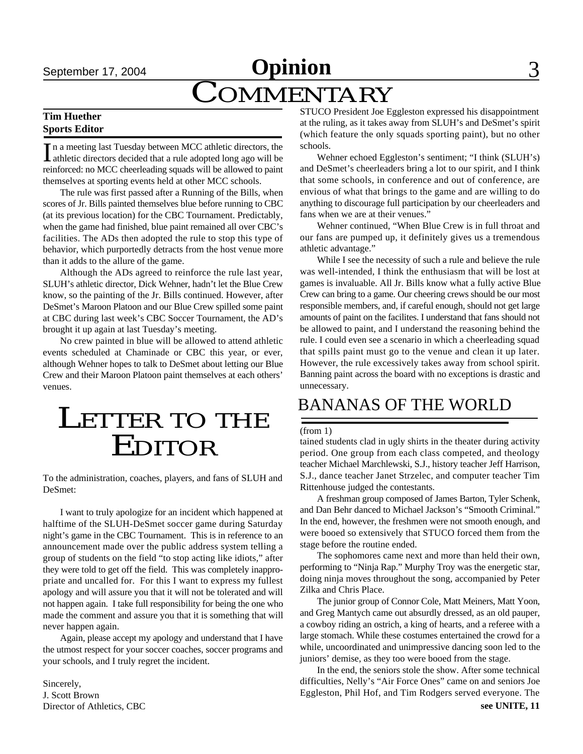## September 17, 2004 **Opinion** 3 **COMMENTARY**

#### **Tim Huether Sports Editor**

In a meeting last Tuesday between MCC athletic directors, the athletic directors decided that a rule adopted long ago will be athletic directors decided that a rule adopted long ago will be reinforced: no MCC cheerleading squads will be allowed to paint themselves at sporting events held at other MCC schools.

The rule was first passed after a Running of the Bills, when scores of Jr. Bills painted themselves blue before running to CBC (at its previous location) for the CBC Tournament. Predictably, when the game had finished, blue paint remained all over CBC's facilities. The ADs then adopted the rule to stop this type of behavior, which purportedly detracts from the host venue more than it adds to the allure of the game.

Although the ADs agreed to reinforce the rule last year, SLUH's athletic director, Dick Wehner, hadn't let the Blue Crew know, so the painting of the Jr. Bills continued. However, after DeSmet's Maroon Platoon and our Blue Crew spilled some paint at CBC during last week's CBC Soccer Tournament, the AD's brought it up again at last Tuesday's meeting.

No crew painted in blue will be allowed to attend athletic events scheduled at Chaminade or CBC this year, or ever, although Wehner hopes to talk to DeSmet about letting our Blue Crew and their Maroon Platoon paint themselves at each others' venues.

## LETTER TO THE EDITOR

To the administration, coaches, players, and fans of SLUH and DeSmet:

I want to truly apologize for an incident which happened at halftime of the SLUH-DeSmet soccer game during Saturday night's game in the CBC Tournament. This is in reference to an announcement made over the public address system telling a group of students on the field "to stop acting like idiots," after they were told to get off the field. This was completely inappropriate and uncalled for. For this I want to express my fullest apology and will assure you that it will not be tolerated and will not happen again. I take full responsibility for being the one who made the comment and assure you that it is something that will never happen again.

Again, please accept my apology and understand that I have the utmost respect for your soccer coaches, soccer programs and your schools, and I truly regret the incident.

Sincerely, J. Scott Brown Director of Athletics, CBC STUCO President Joe Eggleston expressed his disappointment at the ruling, as it takes away from SLUH's and DeSmet's spirit (which feature the only squads sporting paint), but no other schools.

Wehner echoed Eggleston's sentiment; "I think (SLUH's) and DeSmet's cheerleaders bring a lot to our spirit, and I think that some schools, in conference and out of conference, are envious of what that brings to the game and are willing to do anything to discourage full participation by our cheerleaders and fans when we are at their venues."

Wehner continued, "When Blue Crew is in full throat and our fans are pumped up, it definitely gives us a tremendous athletic advantage."

While I see the necessity of such a rule and believe the rule was well-intended, I think the enthusiasm that will be lost at games is invaluable. All Jr. Bills know what a fully active Blue Crew can bring to a game. Our cheering crews should be our most responsible members, and, if careful enough, should not get large amounts of paint on the facilites. I understand that fans should not be allowed to paint, and I understand the reasoning behind the rule. I could even see a scenario in which a cheerleading squad that spills paint must go to the venue and clean it up later. However, the rule excessively takes away from school spirit. Banning paint across the board with no exceptions is drastic and unnecessary.

### BANANAS OF THE WORLD

#### (from 1)

tained students clad in ugly shirts in the theater during activity period. One group from each class competed, and theology teacher Michael Marchlewski, S.J., history teacher Jeff Harrison, S.J., dance teacher Janet Strzelec, and computer teacher Tim Rittenhouse judged the contestants.

A freshman group composed of James Barton, Tyler Schenk, and Dan Behr danced to Michael Jackson's "Smooth Criminal." In the end, however, the freshmen were not smooth enough, and were booed so extensively that STUCO forced them from the stage before the routine ended.

The sophomores came next and more than held their own, performing to "Ninja Rap." Murphy Troy was the energetic star, doing ninja moves throughout the song, accompanied by Peter Zilka and Chris Place.

The junior group of Connor Cole, Matt Meiners, Matt Yoon, and Greg Mantych came out absurdly dressed, as an old pauper, a cowboy riding an ostrich, a king of hearts, and a referee with a large stomach. While these costumes entertained the crowd for a while, uncoordinated and unimpressive dancing soon led to the juniors' demise, as they too were booed from the stage.

In the end, the seniors stole the show. After some technical difficulties, Nelly's "Air Force Ones" came on and seniors Joe Eggleston, Phil Hof, and Tim Rodgers served everyone. The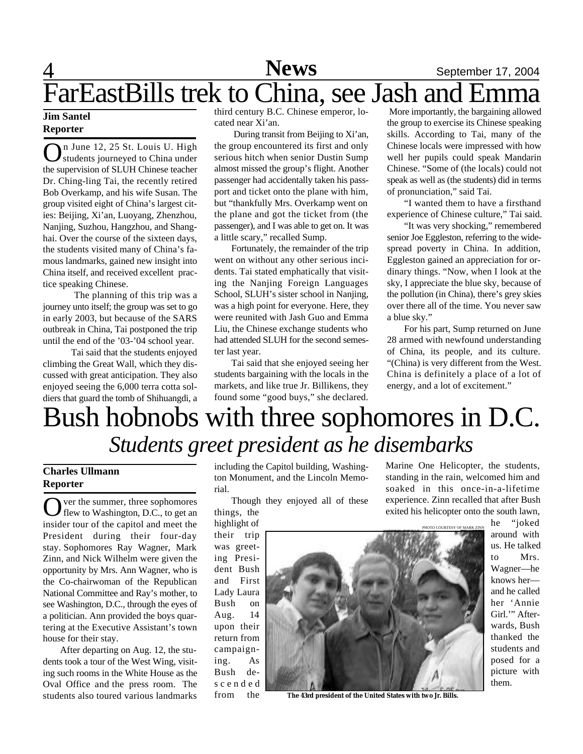## 4 **Sports News** September 17, 2004 FarEastBills trek to China, see Jash and Emma

#### **Jim Santel Reporter**

On June 12, 25 St. Louis U. High<br>students journeyed to China under students journeyed to China under the supervision of SLUH Chinese teacher Dr. Ching-ling Tai, the recently retired Bob Overkamp, and his wife Susan. The group visited eight of China's largest cities: Beijing, Xi'an, Luoyang, Zhenzhou, Nanjing, Suzhou, Hangzhou, and Shanghai. Over the course of the sixteen days, the students visited many of China's famous landmarks, gained new insight into China itself, and received excellent practice speaking Chinese.

 The planning of this trip was a journey unto itself; the group was set to go in early 2003, but because of the SARS outbreak in China, Tai postponed the trip until the end of the '03-'04 school year.

 Tai said that the students enjoyed climbing the Great Wall, which they discussed with great anticipation. They also enjoyed seeing the 6,000 terra cotta soldiers that guard the tomb of Shihuangdi, a

third century B.C. Chinese emperor, located near Xi'an.

 During transit from Beijing to Xi'an, the group encountered its first and only serious hitch when senior Dustin Sump almost missed the group's flight. Another passenger had accidentally taken his passport and ticket onto the plane with him, but "thankfully Mrs. Overkamp went on the plane and got the ticket from (the passenger), and I was able to get on. It was a little scary," recalled Sump.

Fortunately, the remainder of the trip went on without any other serious incidents. Tai stated emphatically that visiting the Nanjing Foreign Languages School, SLUH's sister school in Nanjing, was a high point for everyone. Here, they were reunited with Jash Guo and Emma Liu, the Chinese exchange students who had attended SLUH for the second semester last year.

Tai said that she enjoyed seeing her students bargaining with the locals in the markets, and like true Jr. Billikens, they found some "good buys," she declared.

 More importantly, the bargaining allowed the group to exercise its Chinese speaking skills. According to Tai, many of the Chinese locals were impressed with how well her pupils could speak Mandarin Chinese. "Some of (the locals) could not speak as well as (the students) did in terms of pronunciation," said Tai.

"I wanted them to have a firsthand experience of Chinese culture," Tai said.

"It was very shocking," remembered senior Joe Eggleston, referring to the widespread poverty in China. In addition, Eggleston gained an appreciation for ordinary things. "Now, when I look at the sky, I appreciate the blue sky, because of the pollution (in China), there's grey skies over there all of the time. You never saw a blue sky."

For his part, Sump returned on June 28 armed with newfound understanding of China, its people, and its culture. "(China) is very different from the West. China is definitely a place of a lot of energy, and a lot of excitement."

Marine One Helicopter, the students,

## Bush hobnobs with three sophomores in D.C. *Students greet president as he disembarks*

### **Charles Ullmann Reporter**

O ver the summer, three sophomores<br>flew to Washington, D.C., to get an ver the summer, three sophomores insider tour of the capitol and meet the President during their four-day stay. Sophomores Ray Wagner, Mark Zinn, and Nick Wilhelm were given the opportunity by Mrs. Ann Wagner, who is the Co-chairwoman of the Republican National Committee and Ray's mother, to see Washington, D.C., through the eyes of a politician. Ann provided the boys quartering at the Executive Assistant's town house for their stay.

After departing on Aug. 12, the students took a tour of the West Wing, visiting such rooms in the White House as the Oval Office and the press room. The students also toured various landmarks

including the Capitol building, Washington Monument, and the Lincoln Memorial.

Though they enjoyed all of these things, the

highlight of their trip was greeting President Bush and First Lady Laura Bush on Aug. 14 upon their return from campaigning. As Bush des c e n d e d from the



**The 43rd president of the United States with two Jr. Bills.**

**POURTESY OF MARK ZIN** standing in the rain, welcomed him and soaked in this once-in-a-lifetime experience. Zinn recalled that after Bush exited his helicopter onto the south lawn, he "joked around with us. He talked to Mrs.

Wagner—he knows her and he called her 'Annie Girl."" Afterwards, Bush thanked the students and posed for a picture with them.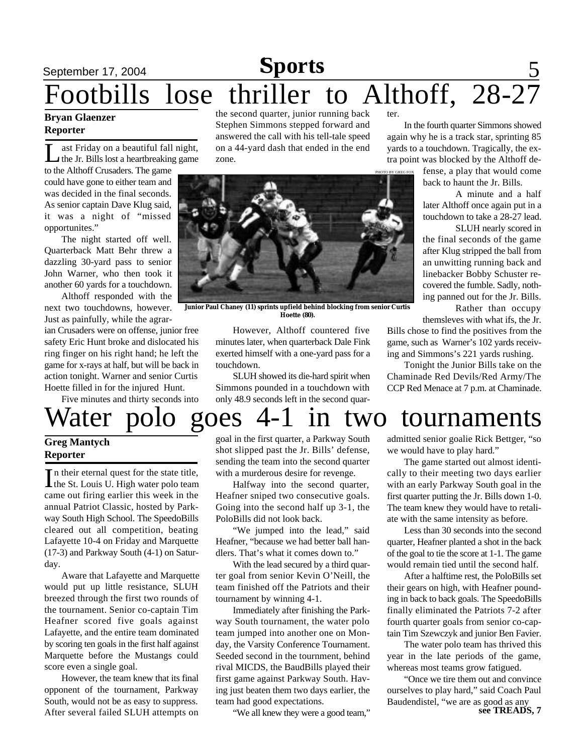### September 17, 2004 **Sports** 5 Footbills lose thriller to Althoff, 28-27 **Sports**

#### **Bryan Glaenzer Reporter**

Let a head if the Jr. Bills lost a heartbreaking game.<br>
The Jr. Bills lost a heartbreaking game. ast Friday on a beautiful fall night, to the Althoff Crusaders. The game could have gone to either team and was decided in the final seconds. As senior captain Dave Klug said, it was a night of "missed opportunites."

The night started off well. Quarterback Matt Behr threw a dazzling 30-yard pass to senior John Warner, who then took it another 60 yards for a touchdown.

Althoff responded with the next two touchdowns, however. Just as painfully, while the agrar-

ian Crusaders were on offense, junior free safety Eric Hunt broke and dislocated his ring finger on his right hand; he left the game for x-rays at half, but will be back in action tonight. Warner and senior Curtis Hoette filled in for the injured Hunt.

Five minutes and thirty seconds into

the second quarter, junior running back Stephen Simmons stepped forward and answered the call with his tell-tale speed on a 44-yard dash that ended in the end zone.



**Junior Paul Chaney (11) sprints upfield behind blocking from senior Curtis Hoette (80).**

However, Althoff countered five minutes later, when quarterback Dale Fink exerted himself with a one-yard pass for a touchdown.

SLUH showed its die-hard spirit when Simmons pounded in a touchdown with only 48.9 seconds left in the second quarter.

In the fourth quarter Simmons showed again why he is a track star, sprinting 85 yards to a touchdown. Tragically, the extra point was blocked by the Althoff de-

> fense, a play that would come back to haunt the Jr. Bills.

A minute and a half later Althoff once again put in a touchdown to take a 28-27 lead.

SLUH nearly scored in the final seconds of the game after Klug stripped the ball from an unwitting running back and linebacker Bobby Schuster recovered the fumble. Sadly, nothing panned out for the Jr. Bills. Rather than occupy

themsleves with what ifs, the Jr.

Bills chose to find the positives from the game, such as Warner's 102 yards receiving and Simmons's 221 yards rushing.

Tonight the Junior Bills take on the Chaminade Red Devils/Red Army/The CCP Red Menace at 7 p.m. at Chaminade.

# Water polo goes 4-1 in two tournaments

#### **Greg Mantych Reporter**

In their eternal quest for the state title,<br>the St. Louis U. High water polo team In their eternal quest for the state title, came out firing earlier this week in the annual Patriot Classic, hosted by Parkway South High School. The SpeedoBills cleared out all competition, beating Lafayette 10-4 on Friday and Marquette (17-3) and Parkway South (4-1) on Saturday.

Aware that Lafayette and Marquette would put up little resistance, SLUH breezed through the first two rounds of the tournament. Senior co-captain Tim Heafner scored five goals against Lafayette, and the entire team dominated by scoring ten goals in the first half against Marquette before the Mustangs could score even a single goal.

However, the team knew that its final opponent of the tournament, Parkway South, would not be as easy to suppress. After several failed SLUH attempts on

goal in the first quarter, a Parkway South shot slipped past the Jr. Bills' defense, sending the team into the second quarter with a murderous desire for revenge.

Halfway into the second quarter, Heafner sniped two consecutive goals. Going into the second half up 3-1, the PoloBills did not look back.

"We jumped into the lead," said Heafner, "because we had better ball handlers. That's what it comes down to."

With the lead secured by a third quarter goal from senior Kevin O'Neill, the team finished off the Patriots and their tournament by winning 4-1.

Immediately after finishing the Parkway South tournament, the water polo team jumped into another one on Monday, the Varsity Conference Tournament. Seeded second in the tournment, behind rival MICDS, the BaudBills played their first game against Parkway South. Having just beaten them two days earlier, the team had good expectations.

"We all knew they were a good team,"

admitted senior goalie Rick Bettger, "so we would have to play hard."

The game started out almost identically to their meeting two days earlier with an early Parkway South goal in the first quarter putting the Jr. Bills down 1-0. The team knew they would have to retaliate with the same intensity as before.

Less than 30 seconds into the second quarter, Heafner planted a shot in the back of the goal to tie the score at 1-1. The game would remain tied until the second half.

After a halftime rest, the PoloBills set their gears on high, with Heafner pounding in back to back goals. The SpeedoBills finally eliminated the Patriots 7-2 after fourth quarter goals from senior co-captain Tim Szewczyk and junior Ben Favier.

The water polo team has thrived this year in the late periods of the game, whereas most teams grow fatigued.

**see TREADS, 7** "Once we tire them out and convince ourselves to play hard," said Coach Paul Baudendistel, "we are as good as any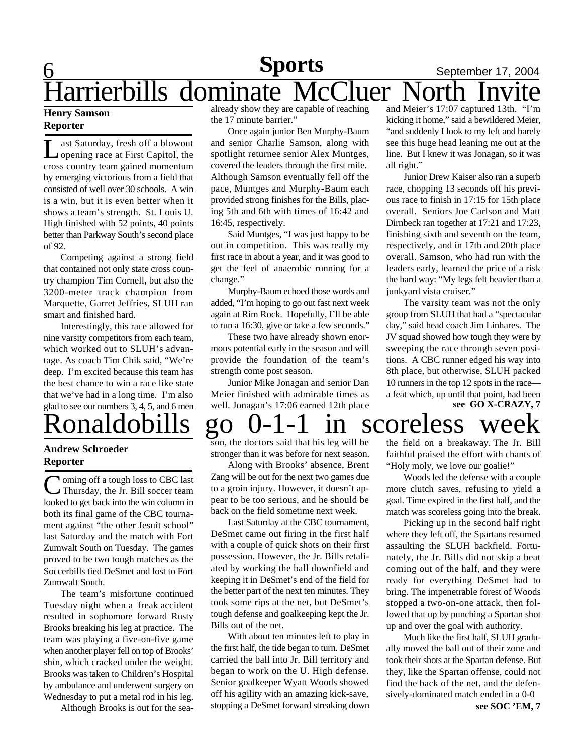### $\underline{6}$ **Sports** September 17, 2004 Harrierbills dominate McCluer

#### **Henry Samson Reporter**

Last Saturday, fresh off a blowout<br>
opening race at First Capitol, the ast Saturday, fresh off a blowout cross country team gained momentum by emerging victorious from a field that consisted of well over 30 schools. A win is a win, but it is even better when it shows a team's strength. St. Louis U. High finished with 52 points, 40 points better than Parkway South's second place of 92.

Competing against a strong field that contained not only state cross country champion Tim Cornell, but also the 3200-meter track champion from Marquette, Garret Jeffries, SLUH ran smart and finished hard.

Interestingly, this race allowed for nine varsity competitors from each team, which worked out to SLUH's advantage. As coach Tim Chik said, "We're deep. I'm excited because this team has the best chance to win a race like state that we've had in a long time. I'm also glad to see our numbers 3, 4, 5, and 6 men

#### **Andrew Schroeder Reporter**

Coming off a tough loss to CBC last<br>Thursday, the Jr. Bill soccer team **Noming off a tough loss to CBC last** looked to get back into the win column in both its final game of the CBC tournament against "the other Jesuit school" last Saturday and the match with Fort Zumwalt South on Tuesday. The games proved to be two tough matches as the Soccerbills tied DeSmet and lost to Fort Zumwalt South.

The team's misfortune continued Tuesday night when a freak accident resulted in sophomore forward Rusty Brooks breaking his leg at practice. The team was playing a five-on-five game when another player fell on top of Brooks' shin, which cracked under the weight. Brooks was taken to Children's Hospital by ambulance and underwent surgery on Wednesday to put a metal rod in his leg.

Although Brooks is out for the sea-

already show they are capable of reaching the 17 minute barrier."

Once again junior Ben Murphy-Baum and senior Charlie Samson, along with spotlight returnee senior Alex Muntges, covered the leaders through the first mile. Although Samson eventually fell off the pace, Muntges and Murphy-Baum each provided strong finishes for the Bills, placing 5th and 6th with times of 16:42 and 16:45, respectively.

Said Muntges, "I was just happy to be out in competition. This was really my first race in about a year, and it was good to get the feel of anaerobic running for a change."

Murphy-Baum echoed those words and added, "I'm hoping to go out fast next week again at Rim Rock. Hopefully, I'll be able to run a 16:30, give or take a few seconds."

These two have already shown enormous potential early in the season and will provide the foundation of the team's strength come post season.

Junior Mike Jonagan and senior Dan Meier finished with admirable times as well. Jonagan's 17:06 earned 12th place and Meier's 17:07 captured 13th. "I'm kicking it home," said a bewildered Meier, "and suddenly I look to my left and barely see this huge head leaning me out at the line. But I knew it was Jonagan, so it was all right."

Junior Drew Kaiser also ran a superb race, chopping 13 seconds off his previous race to finish in 17:15 for 15th place overall. Seniors Joe Carlson and Matt Dirnbeck ran together at 17:21 and 17:23, finishing sixth and seventh on the team, respectively, and in 17th and 20th place overall. Samson, who had run with the leaders early, learned the price of a risk the hard way: "My legs felt heavier than a junkyard vista cruiser."

**see GO X-CRAZY, 7** The varsity team was not the only group from SLUH that had a "spectacular day," said head coach Jim Linhares. The JV squad showed how tough they were by sweeping the race through seven positions. A CBC runner edged his way into 8th place, but otherwise, SLUH packed 10 runners in the top 12 spots in the race a feat which, up until that point, had been

# onaldobills go  $0-1-1$  in scoreless

son, the doctors said that his leg will be stronger than it was before for next season.

Along with Brooks' absence, Brent Zang will be out for the next two games due to a groin injury. However, it doesn't appear to be too serious, and he should be back on the field sometime next week.

Last Saturday at the CBC tournament, DeSmet came out firing in the first half with a couple of quick shots on their first possession. However, the Jr. Bills retaliated by working the ball downfield and keeping it in DeSmet's end of the field for the better part of the next ten minutes. They took some rips at the net, but DeSmet's tough defense and goalkeeping kept the Jr. Bills out of the net.

With about ten minutes left to play in the first half, the tide began to turn. DeSmet carried the ball into Jr. Bill territory and began to work on the U. High defense. Senior goalkeeper Wyatt Woods showed off his agility with an amazing kick-save, stopping a DeSmet forward streaking down the field on a breakaway. The Jr. Bill faithful praised the effort with chants of "Holy moly, we love our goalie!"

Woods led the defense with a couple more clutch saves, refusing to yield a goal. Time expired in the first half, and the match was scoreless going into the break.

Picking up in the second half right where they left off, the Spartans resumed assaulting the SLUH backfield. Fortunately, the Jr. Bills did not skip a beat coming out of the half, and they were ready for everything DeSmet had to bring. The impenetrable forest of Woods stopped a two-on-one attack, then followed that up by punching a Spartan shot up and over the goal with authority.

Much like the first half, SLUH gradually moved the ball out of their zone and took their shots at the Spartan defense. But they, like the Spartan offense, could not find the back of the net, and the defensively-dominated match ended in a 0-0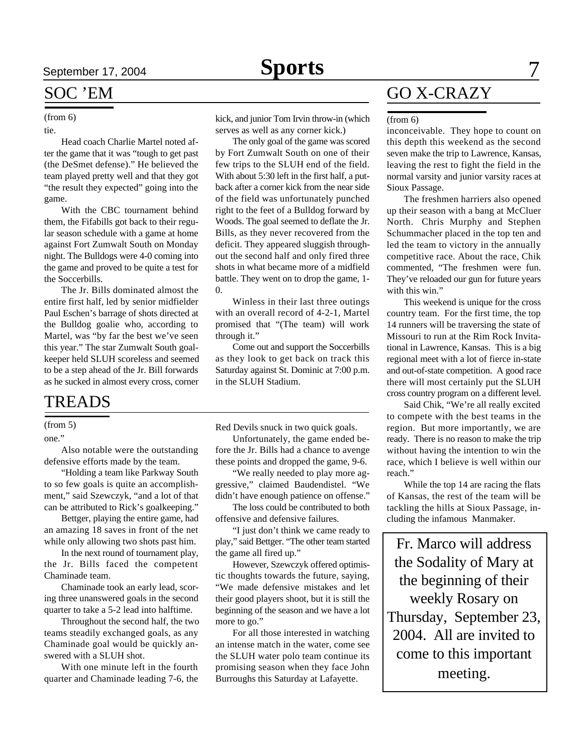### SOC 'EM

#### (from 6)

tie.

Head coach Charlie Martel noted after the game that it was "tough to get past (the DeSmet defense)." He believed the team played pretty well and that they got "the result they expected" going into the game.

With the CBC tournament behind them, the Fifabills got back to their regular season schedule with a game at home against Fort Zumwalt South on Monday night. The Bulldogs were 4-0 coming into the game and proved to be quite a test for the Soccerbills.

The Jr. Bills dominated almost the entire first half, led by senior midfielder Paul Eschen's barrage of shots directed at the Bulldog goalie who, according to Martel, was "by far the best we've seen this year." The star Zumwalt South goalkeeper held SLUH scoreless and seemed to be a step ahead of the Jr. Bill forwards as he sucked in almost every cross, corner

### TREADS

#### (from 5)

one."

Also notable were the outstanding defensive efforts made by the team.

"Holding a team like Parkway South to so few goals is quite an accomplishment," said Szewczyk, "and a lot of that can be attributed to Rick's goalkeeping."

Bettger, playing the entire game, had an amazing 18 saves in front of the net while only allowing two shots past him.

In the next round of tournament play, the Jr. Bills faced the competent Chaminade team.

Chaminade took an early lead, scoring three unanswered goals in the second quarter to take a 5-2 lead into halftime.

Throughout the second half, the two teams steadily exchanged goals, as any Chaminade goal would be quickly answered with a SLUH shot.

With one minute left in the fourth quarter and Chaminade leading 7-6, the kick, and junior Tom Irvin throw-in (which serves as well as any corner kick.)

The only goal of the game was scored by Fort Zumwalt South on one of their few trips to the SLUH end of the field. With about 5:30 left in the first half, a putback after a corner kick from the near side of the field was unfortunately punched right to the feet of a Bulldog forward by Woods. The goal seemed to deflate the Jr. Bills, as they never recovered from the deficit. They appeared sluggish throughout the second half and only fired three shots in what became more of a midfield battle. They went on to drop the game, 1-  $\theta$ .

Winless in their last three outings with an overall record of 4-2-1, Martel promised that "(The team) will work through it."

Come out and support the Soccerbills as they look to get back on track this Saturday against St. Dominic at 7:00 p.m. in the SLUH Stadium.

Red Devils snuck in two quick goals.

Unfortunately, the game ended before the Jr. Bills had a chance to avenge these points and dropped the game, 9-6.

"We really needed to play more aggressive," claimed Baudendistel. "We didn't have enough patience on offense."

The loss could be contributed to both offensive and defensive failures.

"I just don't think we came ready to play," said Bettger. "The other team started the game all fired up."

However, Szewczyk offered optimistic thoughts towards the future, saying, "We made defensive mistakes and let their good players shoot, but it is still the beginning of the season and we have a lot more to go."

For all those interested in watching an intense match in the water, come see the SLUH water polo team continue its promising season when they face John Burroughs this Saturday at Lafayette.

## GO X-CRAZY

#### (from 6)

inconceivable. They hope to count on this depth this weekend as the second seven make the trip to Lawrence, Kansas, leaving the rest to fight the field in the normal varsity and junior varsity races at Sioux Passage.

The freshmen harriers also opened up their season with a bang at McCluer North. Chris Murphy and Stephen Schummacher placed in the top ten and led the team to victory in the annually competitive race. About the race, Chik commented, "The freshmen were fun. They've reloaded our gun for future years with this win."

This weekend is unique for the cross country team. For the first time, the top 14 runners will be traversing the state of Missouri to run at the Rim Rock Invitational in Lawrence, Kansas. This is a big regional meet with a lot of fierce in-state and out-of-state competition. A good race there will most certainly put the SLUH cross country program on a different level.

Said Chik, "We're all really excited to compete with the best teams in the region. But more importantly, we are ready. There is no reason to make the trip without having the intention to win the race, which I believe is well within our reach."

While the top 14 are racing the flats of Kansas, the rest of the team will be tackling the hills at Sioux Passage, including the infamous Manmaker.

Fr. Marco will address the Sodality of Mary at the beginning of their weekly Rosary on Thursday, September 23, 2004. All are invited to come to this important meeting.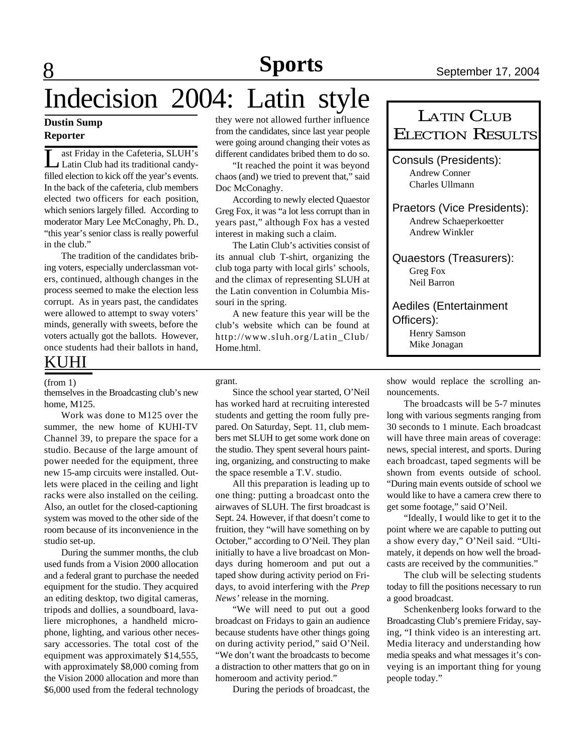# Indecision 2004: Latin style

#### **Dustin Sump Reporter**

8

**L** ast Friday in the Cafeteria, SLUH's<br>Latin Club had its traditional candyast Friday in the Cafeteria, SLUH's filled election to kick off the year's events. In the back of the cafeteria, club members elected two officers for each position, which seniors largely filled. According to moderator Mary Lee McConaghy, Ph. D., "this year's senior class is really powerful in the club."

The tradition of the candidates bribing voters, especially underclassman voters, continued, although changes in the process seemed to make the election less corrupt. As in years past, the candidates were allowed to attempt to sway voters' minds, generally with sweets, before the voters actually got the ballots. However, once students had their ballots in hand,

### KUHI

#### (from 1)

themselves in the Broadcasting club's new home, M125.

Work was done to M125 over the summer, the new home of KUHI-TV Channel 39, to prepare the space for a studio. Because of the large amount of power needed for the equipment, three new 15-amp circuits were installed. Outlets were placed in the ceiling and light racks were also installed on the ceiling. Also, an outlet for the closed-captioning system was moved to the other side of the room because of its inconvenience in the studio set-up.

During the summer months, the club used funds from a Vision 2000 allocation and a federal grant to purchase the needed equipment for the studio. They acquired an editing desktop, two digital cameras, tripods and dollies, a soundboard, lavaliere microphones, a handheld microphone, lighting, and various other necessary accessories. The total cost of the equipment was approximately \$14,555, with approximately \$8,000 coming from the Vision 2000 allocation and more than \$6,000 used from the federal technology

they were not allowed further influence from the candidates, since last year people were going around changing their votes as different candidates bribed them to do so.

"It reached the point it was beyond chaos (and) we tried to prevent that," said Doc McConaghy.

According to newly elected Quaestor Greg Fox, it was "a lot less corrupt than in years past," although Fox has a vested interest in making such a claim.

The Latin Club's activities consist of its annual club T-shirt, organizing the club toga party with local girls' schools, and the climax of representing SLUH at the Latin convention in Columbia Missouri in the spring.

A new feature this year will be the club's website which can be found at http://www.sluh.org/Latin\_Club/ Home.html.

grant.

Since the school year started, O'Neil has worked hard at recruiting interested students and getting the room fully prepared. On Saturday, Sept. 11, club members met SLUH to get some work done on the studio. They spent several hours painting, organizing, and constructing to make the space resemble a T.V. studio.

All this preparation is leading up to one thing: putting a broadcast onto the airwaves of SLUH. The first broadcast is Sept. 24. However, if that doesn't come to fruition, they "will have something on by October," according to O'Neil. They plan initially to have a live broadcast on Mondays during homeroom and put out a taped show during activity period on Fridays, to avoid interfering with the *Prep News'* release in the morning.

"We will need to put out a good broadcast on Fridays to gain an audience because students have other things going on during activity period," said O'Neil. "We don't want the broadcasts to become a distraction to other matters that go on in homeroom and activity period."

During the periods of broadcast, the

| <b>LATIN CLUB</b><br><b>ELECTION RESULTS</b>                            |
|-------------------------------------------------------------------------|
| <b>Consuls (Presidents):</b><br>Andrew Conner<br>Charles Ullmann        |
| Praetors (Vice Presidents):<br>Andrew Schaeperkoetter<br>Andrew Winkler |
| Quaestors (Treasurers):<br>Greg Fox<br>Neil Barron                      |
| <b>Aediles (Entertainment</b>                                           |

Officers):

Henry Samson Mike Jonagan

show would replace the scrolling announcements.

The broadcasts will be 5-7 minutes long with various segments ranging from 30 seconds to 1 minute. Each broadcast will have three main areas of coverage: news, special interest, and sports. During each broadcast, taped segments will be shown from events outside of school. "During main events outside of school we would like to have a camera crew there to get some footage," said O'Neil.

"Ideally, I would like to get it to the point where we are capable to putting out a show every day," O'Neil said. "Ultimately, it depends on how well the broadcasts are received by the communities."

The club will be selecting students today to fill the positions necessary to run a good broadcast.

Schenkenberg looks forward to the Broadcasting Club's premiere Friday, saying, "I think video is an interesting art. Media literacy and understanding how media speaks and what messages it's conveying is an important thing for young people today."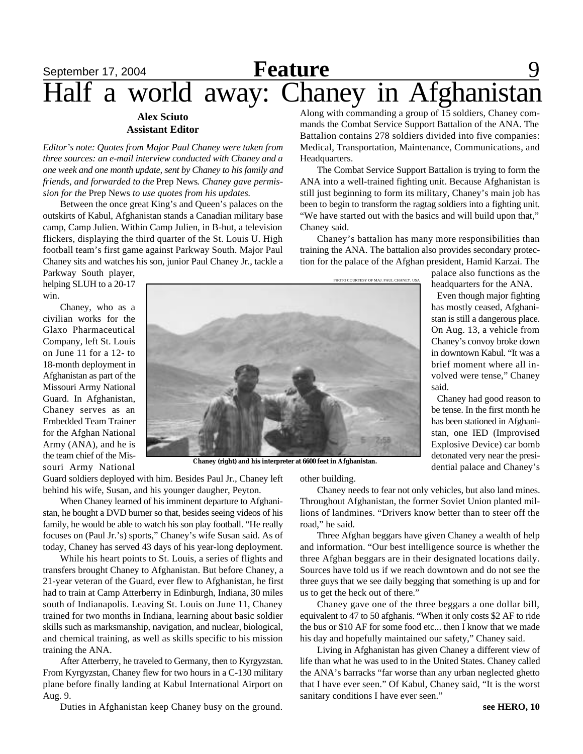## **September 17, 2004 Feature** 9 Half a world away: Chaney in Afghanistan Along with commanding a group of 15 soldiers, Chaney com-

Headquarters.

Chaney said.

#### **Alex Sciuto Assistant Editor**

*Editor's note: Quotes from Major Paul Chaney were taken from three sources: an e-mail interview conducted with Chaney and a one week and one month update, sent by Chaney to his family and friends, and forwarded to the* Prep News*. Chaney gave permission for the* Prep News *to use quotes from his updates.*

Between the once great King's and Queen's palaces on the outskirts of Kabul, Afghanistan stands a Canadian military base camp, Camp Julien. Within Camp Julien, in B-hut, a television flickers, displaying the third quarter of the St. Louis U. High football team's first game against Parkway South. Major Paul Chaney sits and watches his son, junior Paul Chaney Jr., tackle a

Parkway South player, helping SLUH to a 20-17 win.

Chaney, who as a civilian works for the Glaxo Pharmaceutical Company, left St. Louis on June 11 for a 12- to 18-month deployment in Afghanistan as part of the Missouri Army National Guard. In Afghanistan, Chaney serves as an Embedded Team Trainer for the Afghan National Army (ANA), and he is the team chief of the Missouri Army National



**Chaney (right) and his interpreter at 6600 feet in Afghanistan.**

Guard soldiers deployed with him. Besides Paul Jr., Chaney left behind his wife, Susan, and his younger daugher, Peyton.

When Chaney learned of his imminent departure to Afghanistan, he bought a DVD burner so that, besides seeing videos of his family, he would be able to watch his son play football. "He really focuses on (Paul Jr.'s) sports," Chaney's wife Susan said. As of today, Chaney has served 43 days of his year-long deployment.

While his heart points to St. Louis, a series of flights and transfers brought Chaney to Afghanistan. But before Chaney, a 21-year veteran of the Guard, ever flew to Afghanistan, he first had to train at Camp Atterberry in Edinburgh, Indiana, 30 miles south of Indianapolis. Leaving St. Louis on June 11, Chaney trained for two months in Indiana, learning about basic soldier skills such as marksmanship, navigation, and nuclear, biological, and chemical training, as well as skills specific to his mission training the ANA.

After Atterberry, he traveled to Germany, then to Kyrgyzstan. From Kyrgyzstan, Chaney flew for two hours in a C-130 military plane before finally landing at Kabul International Airport on Aug. 9.

Duties in Afghanistan keep Chaney busy on the ground.

other building.

Chaney needs to fear not only vehicles, but also land mines. Throughout Afghanistan, the former Soviet Union planted millions of landmines. "Drivers know better than to steer off the road," he said.

Three Afghan beggars have given Chaney a wealth of help and information. "Our best intelligence source is whether the three Afghan beggars are in their designated locations daily. Sources have told us if we reach downtown and do not see the three guys that we see daily begging that something is up and for us to get the heck out of there."

Chaney gave one of the three beggars a one dollar bill, equivalent to 47 to 50 afghanis. "When it only costs \$2 AF to ride the bus or \$10 AF for some food etc... then I know that we made his day and hopefully maintained our safety," Chaney said.

Living in Afghanistan has given Chaney a different view of life than what he was used to in the United States. Chaney called the ANA's barracks "far worse than any urban neglected ghetto that I have ever seen." Of Kabul, Chaney said, "It is the worst sanitary conditions I have ever seen."

mands the Combat Service Support Battalion of the ANA. The Battalion contains 278 soldiers divided into five companies: Medical, Transportation, Maintenance, Communications, and

The Combat Service Support Battalion is trying to form the ANA into a well-trained fighting unit. Because Afghanistan is still just beginning to form its military, Chaney's main job has been to begin to transform the ragtag soldiers into a fighting unit. "We have started out with the basics and will build upon that,"

Chaney's battalion has many more responsibilities than training the ANA. The battalion also provides secondary protection for the palace of the Afghan president, Hamid Karzai. The

> palace also functions as the headquarters for the ANA.

Even though major fighting has mostly ceased, Afghanistan is still a dangerous place. On Aug. 13, a vehicle from Chaney's convoy broke down in downtown Kabul. "It was a brief moment where all involved were tense," Chaney said.

Chaney had good reason to be tense. In the first month he has been stationed in Afghanistan, one IED (Improvised Explosive Device) car bomb detonated very near the presidential palace and Chaney's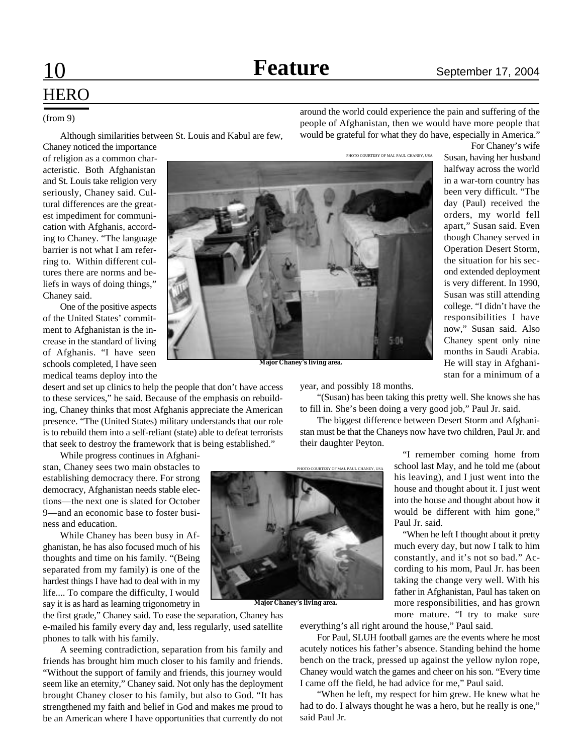For Chaney's wife

# **HERO**

#### (from 9)

Although similarities between St. Louis and Kabul are few,

around the world could experience the pain and suffering of the people of Afghanistan, then we would have more people that would be grateful for what they do have, especially in America."

Chaney noticed the importance of religion as a common characteristic. Both Afghanistan and St. Louis take religion very seriously, Chaney said. Cultural differences are the greatest impediment for communication with Afghanis, according to Chaney. "The language barrier is not what I am referring to. Within different cultures there are norms and beliefs in ways of doing things," Chaney said.

One of the positive aspects of the United States' commitment to Afghanistan is the increase in the standard of living of Afghanis. "I have seen schools completed, I have seen medical teams deploy into the

desert and set up clinics to help the people that don't have access to these services," he said. Because of the emphasis on rebuilding, Chaney thinks that most Afghanis appreciate the American presence. "The (United States) military understands that our role is to rebuild them into a self-reliant (state) able to defeat terrorists that seek to destroy the framework that is being established."

While progress continues in Afghanistan, Chaney sees two main obstacles to establishing democracy there. For strong democracy, Afghanistan needs stable elections—the next one is slated for October 9—and an economic base to foster business and education.

While Chaney has been busy in Afghanistan, he has also focused much of his thoughts and time on his family. "(Being separated from my family) is one of the hardest things I have had to deal with in my life.... To compare the difficulty, I would say it is as hard as learning trigonometry in

the first grade," Chaney said. To ease the separation, Chaney has e-mailed his family every day and, less regularly, used satellite phones to talk with his family.

A seeming contradiction, separation from his family and friends has brought him much closer to his family and friends. "Without the support of family and friends, this journey would seem like an eternity," Chaney said. Not only has the deployment brought Chaney closer to his family, but also to God. "It has strengthened my faith and belief in God and makes me proud to be an American where I have opportunities that currently do not



Susan, having her husband halfway across the world in a war-torn country has been very difficult. "The day (Paul) received the orders, my world fell apart," Susan said. Even though Chaney served in Operation Desert Storm, the situation for his second extended deployment is very different. In 1990, Susan was still attending college. "I didn't have the responsibilities I have now," Susan said. Also Chaney spent only nine months in Saudi Arabia. He will stay in Afghanistan for a minimum of a

**Major Chaney's living area.**

year, and possibly 18 months.

"(Susan) has been taking this pretty well. She knows she has to fill in. She's been doing a very good job," Paul Jr. said.

5.04

The biggest difference between Desert Storm and Afghanistan must be that the Chaneys now have two children, Paul Jr. and their daughter Peyton.



**Major Chaney's living area.**

"I remember coming home from school last May, and he told me (about his leaving), and I just went into the house and thought about it. I just went into the house and thought about how it would be different with him gone," Paul Jr. said.

"When he left I thought about it pretty much every day, but now I talk to him constantly, and it's not so bad." According to his mom, Paul Jr. has been taking the change very well. With his father in Afghanistan, Paul has taken on more responsibilities, and has grown more mature. "I try to make sure

everything's all right around the house," Paul said.

For Paul, SLUH football games are the events where he most acutely notices his father's absence. Standing behind the home bench on the track, pressed up against the yellow nylon rope, Chaney would watch the games and cheer on his son. "Every time I came off the field, he had advice for me," Paul said.

"When he left, my respect for him grew. He knew what he had to do. I always thought he was a hero, but he really is one," said Paul Jr.

PHOTO COURTESY OF MAJ. PAUL CHANEY, USA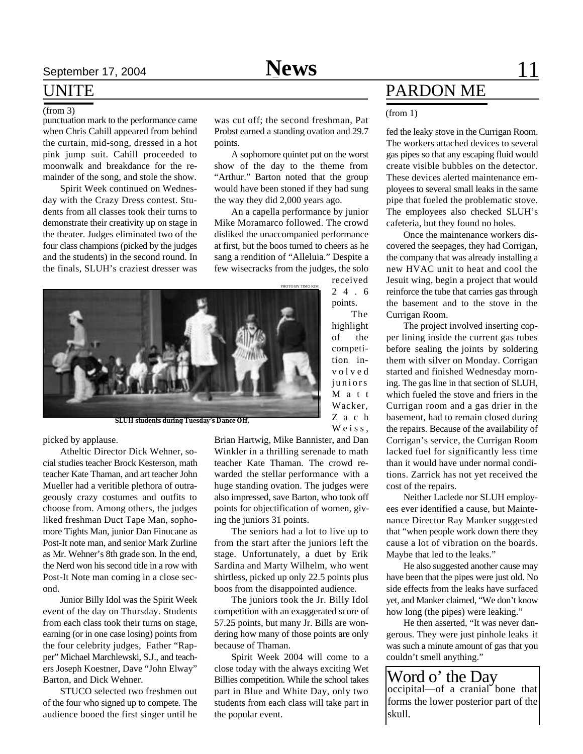## **S**eptember 17, 2004 **News** 11

### UNITE

#### (from 3)

punctuation mark to the performance came when Chris Cahill appeared from behind the curtain, mid-song, dressed in a hot pink jump suit. Cahill proceeded to moonwalk and breakdance for the remainder of the song, and stole the show.

Spirit Week continued on Wednesday with the Crazy Dress contest. Students from all classes took their turns to demonstrate their creativity up on stage in the theater. Judges eliminated two of the four class champions (picked by the judges and the students) in the second round. In the finals, SLUH's craziest dresser was

was cut off; the second freshman, Pat Probst earned a standing ovation and 29.7 points.

A sophomore quintet put on the worst show of the day to the theme from "Arthur." Barton noted that the group would have been stoned if they had sung the way they did 2,000 years ago.

An a capella performance by junior Mike Moramarco followed. The crowd disliked the unaccompanied performance at first, but the boos turned to cheers as he sang a rendition of "Alleluia." Despite a few wisecracks from the judges, the solo received

> 2 4 . 6 points. The highlight of the competition inv o l v e d juniors M a t t Wacker, Z a c h Weiss,



picked by applause.

Atheltic Director Dick Wehner, social studies teacher Brock Kesterson, math teacher Kate Thaman, and art teacher John Mueller had a veritible plethora of outrageously crazy costumes and outfits to choose from. Among others, the judges liked freshman Duct Tape Man, sophomore Tights Man, junior Dan Finucane as Post-It note man, and senior Mark Zurline as Mr. Wehner's 8th grade son. In the end, the Nerd won his second title in a row with Post-It Note man coming in a close second.

Junior Billy Idol was the Spirit Week event of the day on Thursday. Students from each class took their turns on stage, earning (or in one case losing) points from the four celebrity judges, Father "Rapper" Michael Marchlewski, S.J., and teachers Joseph Koestner, Dave "John Elway" Barton, and Dick Wehner.

STUCO selected two freshmen out of the four who signed up to compete. The audience booed the first singer until he

Brian Hartwig, Mike Bannister, and Dan Winkler in a thrilling serenade to math teacher Kate Thaman. The crowd rewarded the stellar performance with a huge standing ovation. The judges were also impressed, save Barton, who took off points for objectification of women, giving the juniors 31 points.

The seniors had a lot to live up to from the start after the juniors left the stage. Unfortunately, a duet by Erik Sardina and Marty Wilhelm, who went shirtless, picked up only 22.5 points plus boos from the disappointed audience.

The juniors took the Jr. Billy Idol competition with an exaggerated score of 57.25 points, but many Jr. Bills are wondering how many of those points are only because of Thaman.

Spirit Week 2004 will come to a close today with the always exciting Wet Billies competition. While the school takes part in Blue and White Day, only two students from each class will take part in the popular event.

## PARDON ME

#### (from 1)

fed the leaky stove in the Currigan Room. The workers attached devices to several gas pipes so that any escaping fluid would create visible bubbles on the detector. These devices alerted maintenance employees to several small leaks in the same pipe that fueled the problematic stove. The employees also checked SLUH's cafeteria, but they found no holes.

Once the maintenance workers discovered the seepages, they had Corrigan, the company that was already installing a new HVAC unit to heat and cool the Jesuit wing, begin a project that would reinforce the tube that carries gas through the basement and to the stove in the Currigan Room.

The project involved inserting copper lining inside the current gas tubes before sealing the joints by soldering them with silver on Monday. Corrigan started and finished Wednesday morning. The gas line in that section of SLUH, which fueled the stove and friers in the Currigan room and a gas drier in the basement, had to remain closed during the repairs. Because of the availability of Corrigan's service, the Currigan Room lacked fuel for significantly less time than it would have under normal conditions. Zarrick has not yet received the cost of the repairs.

Neither Laclede nor SLUH employees ever identified a cause, but Maintenance Director Ray Manker suggested that "when people work down there they cause a lot of vibration on the boards. Maybe that led to the leaks."

He also suggested another cause may have been that the pipes were just old. No side effects from the leaks have surfaced yet, and Manker claimed, "We don't know how long (the pipes) were leaking."

He then asserted, "It was never dangerous. They were just pinhole leaks it was such a minute amount of gas that you couldn't smell anything."

Word o' the Day occipital—of a cranial bone that forms the lower posterior part of the skull.



**SLUH students during Tuesday's Dance Off.**